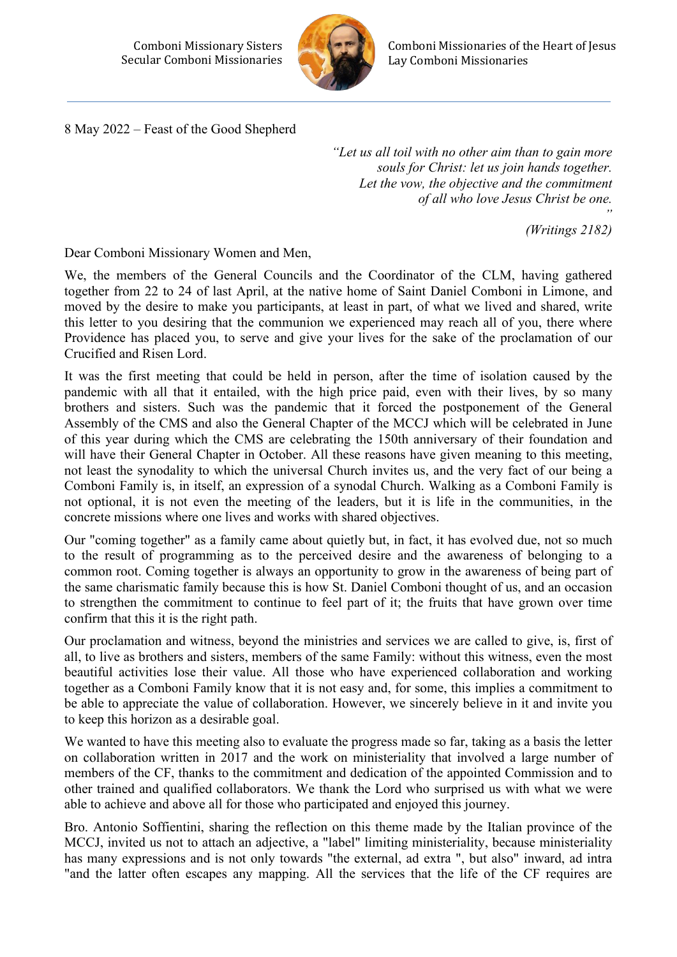

8 May 2022 – Feast of the Good Shepherd

*"Let us all toil with no other aim than to gain more souls for Christ: let us join hands together. Let the vow, the objective and the commitment of all who love Jesus Christ be one.*

*" (Writings 2182)*

Dear Comboni Missionary Women and Men,

We, the members of the General Councils and the Coordinator of the CLM, having gathered together from 22 to 24 of last April, at the native home of Saint Daniel Comboni in Limone, and moved by the desire to make you participants, at least in part, of what we lived and shared, write this letter to you desiring that the communion we experienced may reach all of you, there where Providence has placed you, to serve and give your lives for the sake of the proclamation of our Crucified and Risen Lord.

It was the first meeting that could be held in person, after the time of isolation caused by the pandemic with all that it entailed, with the high price paid, even with their lives, by so many brothers and sisters. Such was the pandemic that it forced the postponement of the General Assembly of the CMS and also the General Chapter of the MCCJ which will be celebrated in June of this year during which the CMS are celebrating the 150th anniversary of their foundation and will have their General Chapter in October. All these reasons have given meaning to this meeting, not least the synodality to which the universal Church invites us, and the very fact of our being a Comboni Family is, in itself, an expression of a synodal Church. Walking as a Comboni Family is not optional, it is not even the meeting of the leaders, but it is life in the communities, in the concrete missions where one lives and works with shared objectives.

Our "coming together" as a family came about quietly but, in fact, it has evolved due, not so much to the result of programming as to the perceived desire and the awareness of belonging to a common root. Coming together is always an opportunity to grow in the awareness of being part of the same charismatic family because this is how St. Daniel Comboni thought of us, and an occasion to strengthen the commitment to continue to feel part of it; the fruits that have grown over time confirm that this it is the right path.

Our proclamation and witness, beyond the ministries and services we are called to give, is, first of all, to live as brothers and sisters, members of the same Family: without this witness, even the most beautiful activities lose their value. All those who have experienced collaboration and working together as a Comboni Family know that it is not easy and, for some, this implies a commitment to be able to appreciate the value of collaboration. However, we sincerely believe in it and invite you to keep this horizon as a desirable goal.

We wanted to have this meeting also to evaluate the progress made so far, taking as a basis the letter on collaboration written in 2017 and the work on ministeriality that involved a large number of members of the CF, thanks to the commitment and dedication of the appointed Commission and to other trained and qualified collaborators. We thank the Lord who surprised us with what we were able to achieve and above all for those who participated and enjoyed this journey.

Bro. Antonio Soffientini, sharing the reflection on this theme made by the Italian province of the MCCJ, invited us not to attach an adjective, a "label" limiting ministeriality, because ministeriality has many expressions and is not only towards "the external, ad extra ", but also" inward, ad intra "and the latter often escapes any mapping. All the services that the life of the CF requires are